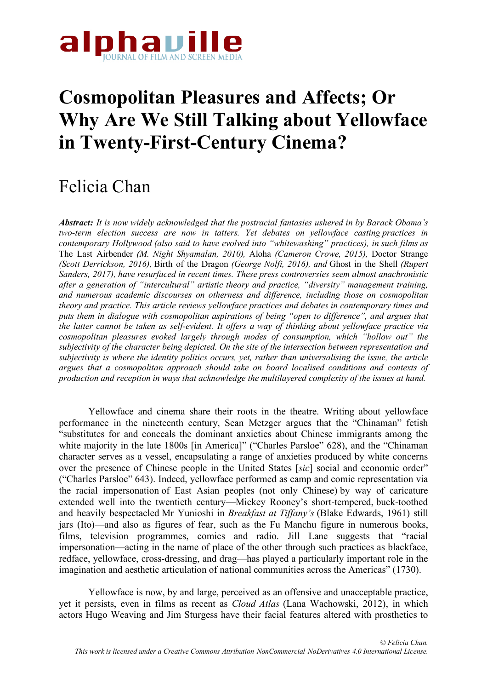

# **Cosmopolitan Pleasures and Affects; Or Why Are We Still Talking about Yellowface in Twenty-First-Century Cinema?**

# Felicia Chan

*Abstract: It is now widely acknowledged that the postracial fantasies ushered in by Barack Obama's two-term election success are now in tatters. Yet debates on yellowface casting practices in contemporary Hollywood (also said to have evolved into "whitewashing" practices), in such films as* The Last Airbender *(M. Night Shyamalan, 2010),* Aloha *(Cameron Crowe, 2015),* Doctor Strange *(Scott Derrickson, 2016),* Birth of the Dragon *(George Nolfi, 2016), and* Ghost in the Shell *(Rupert Sanders, 2017), have resurfaced in recent times. These press controversies seem almost anachronistic after a generation of "intercultural" artistic theory and practice, "diversity" management training, and numerous academic discourses on otherness and difference, including those on cosmopolitan theory and practice. This article reviews yellowface practices and debates in contemporary times and puts them in dialogue with cosmopolitan aspirations of being "open to difference", and argues that the latter cannot be taken as self-evident. It offers a way of thinking about yellowface practice via cosmopolitan pleasures evoked largely through modes of consumption, which "hollow out" the subjectivity of the character being depicted. On the site of the intersection between representation and subjectivity is where the identity politics occurs, yet, rather than universalising the issue, the article argues that a cosmopolitan approach should take on board localised conditions and contexts of production and reception in ways that acknowledge the multilayered complexity of the issues at hand.* 

Yellowface and cinema share their roots in the theatre. Writing about yellowface performance in the nineteenth century, Sean Metzger argues that the "Chinaman" fetish "substitutes for and conceals the dominant anxieties about Chinese immigrants among the white majority in the late 1800s [in America]" ("Charles Parsloe" 628), and the "Chinaman character serves as a vessel, encapsulating a range of anxieties produced by white concerns over the presence of Chinese people in the United States [*sic*] social and economic order" ("Charles Parsloe" 643). Indeed, yellowface performed as camp and comic representation via the racial impersonation of East Asian peoples (not only Chinese) by way of caricature extended well into the twentieth century—Mickey Rooney's short-tempered, buck-toothed and heavily bespectacled Mr Yunioshi in *Breakfast at Tiffany's* (Blake Edwards, 1961) still jars (Ito)—and also as figures of fear, such as the Fu Manchu figure in numerous books, films, television programmes, comics and radio. Jill Lane suggests that "racial impersonation—acting in the name of place of the other through such practices as blackface, redface, yellowface, cross-dressing, and drag—has played a particularly important role in the imagination and aesthetic articulation of national communities across the Americas" (1730).

Yellowface is now, by and large, perceived as an offensive and unacceptable practice, yet it persists, even in films as recent as *Cloud Atlas* (Lana Wachowski, 2012), in which actors Hugo Weaving and Jim Sturgess have their facial features altered with prosthetics to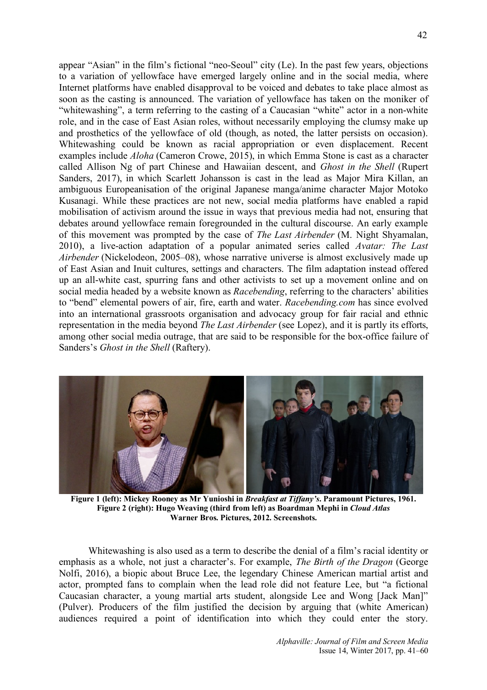appear "Asian" in the film's fictional "neo-Seoul" city (Le). In the past few years, objections to a variation of yellowface have emerged largely online and in the social media, where Internet platforms have enabled disapproval to be voiced and debates to take place almost as soon as the casting is announced. The variation of yellowface has taken on the moniker of "whitewashing", a term referring to the casting of a Caucasian "white" actor in a non-white role, and in the case of East Asian roles, without necessarily employing the clumsy make up and prosthetics of the yellowface of old (though, as noted, the latter persists on occasion). Whitewashing could be known as racial appropriation or even displacement. Recent examples include *Aloha* (Cameron Crowe, 2015), in which Emma Stone is cast as a character called Allison Ng of part Chinese and Hawaiian descent, and *Ghost in the Shell* (Rupert Sanders, 2017), in which Scarlett Johansson is cast in the lead as Major Mira Killan, an ambiguous Europeanisation of the original Japanese manga/anime character Major Motoko Kusanagi. While these practices are not new, social media platforms have enabled a rapid mobilisation of activism around the issue in ways that previous media had not, ensuring that debates around yellowface remain foregrounded in the cultural discourse. An early example of this movement was prompted by the case of *The Last Airbender* (M. Night Shyamalan, 2010), a live-action adaptation of a popular animated series called *Avatar: The Last Airbender* (Nickelodeon, 2005–08), whose narrative universe is almost exclusively made up of East Asian and Inuit cultures, settings and characters. The film adaptation instead offered up an all-white cast, spurring fans and other activists to set up a movement online and on social media headed by a website known as *Racebending*, referring to the characters' abilities to "bend" elemental powers of air, fire, earth and water. *Racebending.com* has since evolved into an international grassroots organisation and advocacy group for fair racial and ethnic representation in the media beyond *The Last Airbender* (see Lopez), and it is partly its efforts, among other social media outrage, that are said to be responsible for the box-office failure of Sanders's *Ghost in the Shell* (Raftery).



**Figure 1 (left): Mickey Rooney as Mr Yunioshi in** *Breakfast at Tiffany's***. Paramount Pictures, 1961. Figure 2 (right): Hugo Weaving (third from left) as Boardman Mephi in** *Cloud Atlas* **Warner Bros. Pictures, 2012. Screenshots.**

Whitewashing is also used as a term to describe the denial of a film's racial identity or emphasis as a whole, not just a character's. For example, *The Birth of the Dragon* (George Nolfi, 2016), a biopic about Bruce Lee, the legendary Chinese American martial artist and actor, prompted fans to complain when the lead role did not feature Lee, but "a fictional Caucasian character, a young martial arts student, alongside Lee and Wong [Jack Man]" (Pulver). Producers of the film justified the decision by arguing that (white American) audiences required a point of identification into which they could enter the story.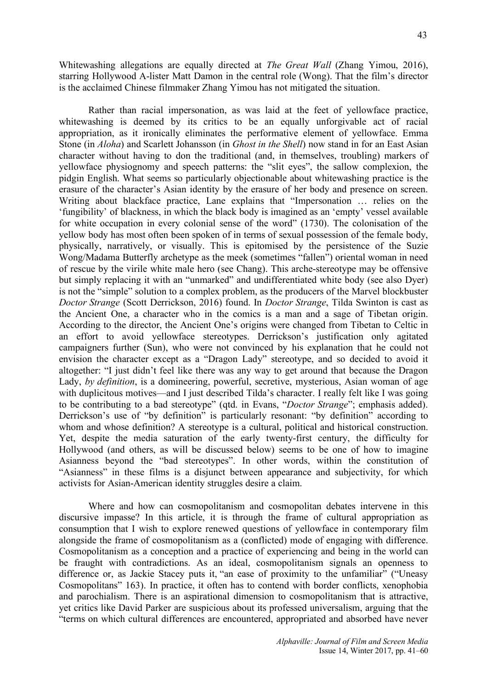Whitewashing allegations are equally directed at *The Great Wall* (Zhang Yimou, 2016), starring Hollywood A-lister Matt Damon in the central role (Wong). That the film's director is the acclaimed Chinese filmmaker Zhang Yimou has not mitigated the situation.

Rather than racial impersonation, as was laid at the feet of yellowface practice, whitewashing is deemed by its critics to be an equally unforgivable act of racial appropriation, as it ironically eliminates the performative element of yellowface. Emma Stone (in *Aloha*) and Scarlett Johansson (in *Ghost in the Shell*) now stand in for an East Asian character without having to don the traditional (and, in themselves, troubling) markers of yellowface physiognomy and speech patterns: the "slit eyes", the sallow complexion, the pidgin English. What seems so particularly objectionable about whitewashing practice is the erasure of the character's Asian identity by the erasure of her body and presence on screen. Writing about blackface practice, Lane explains that "Impersonation … relies on the 'fungibility' of blackness, in which the black body is imagined as an 'empty' vessel available for white occupation in every colonial sense of the word" (1730). The colonisation of the yellow body has most often been spoken of in terms of sexual possession of the female body, physically, narratively, or visually. This is epitomised by the persistence of the Suzie Wong/Madama Butterfly archetype as the meek (sometimes "fallen") oriental woman in need of rescue by the virile white male hero (see Chang). This arche-stereotype may be offensive but simply replacing it with an "unmarked" and undifferentiated white body (see also Dyer) is not the "simple" solution to a complex problem, as the producers of the Marvel blockbuster *Doctor Strange* (Scott Derrickson, 2016) found. In *Doctor Strange*, Tilda Swinton is cast as the Ancient One, a character who in the comics is a man and a sage of Tibetan origin. According to the director, the Ancient One's origins were changed from Tibetan to Celtic in an effort to avoid yellowface stereotypes. Derrickson's justification only agitated campaigners further (Sun), who were not convinced by his explanation that he could not envision the character except as a "Dragon Lady" stereotype, and so decided to avoid it altogether: "I just didn't feel like there was any way to get around that because the Dragon Lady, *by definition*, is a domineering, powerful, secretive, mysterious, Asian woman of age with duplicitous motives—and I just described Tilda's character. I really felt like I was going to be contributing to a bad stereotype" (qtd. in Evans, "*Doctor Strange*"; emphasis added). Derrickson's use of "by definition" is particularly resonant: "by definition" according to whom and whose definition? A stereotype is a cultural, political and historical construction. Yet, despite the media saturation of the early twenty-first century, the difficulty for Hollywood (and others, as will be discussed below) seems to be one of how to imagine Asianness beyond the "bad stereotypes". In other words, within the constitution of "Asianness" in these films is a disjunct between appearance and subjectivity, for which activists for Asian-American identity struggles desire a claim.

Where and how can cosmopolitanism and cosmopolitan debates intervene in this discursive impasse? In this article, it is through the frame of cultural appropriation as consumption that I wish to explore renewed questions of yellowface in contemporary film alongside the frame of cosmopolitanism as a (conflicted) mode of engaging with difference. Cosmopolitanism as a conception and a practice of experiencing and being in the world can be fraught with contradictions. As an ideal, cosmopolitanism signals an openness to difference or, as Jackie Stacey puts it, "an ease of proximity to the unfamiliar" ("Uneasy Cosmopolitans" 163). In practice, it often has to contend with border conflicts, xenophobia and parochialism. There is an aspirational dimension to cosmopolitanism that is attractive, yet critics like David Parker are suspicious about its professed universalism, arguing that the "terms on which cultural differences are encountered, appropriated and absorbed have never

43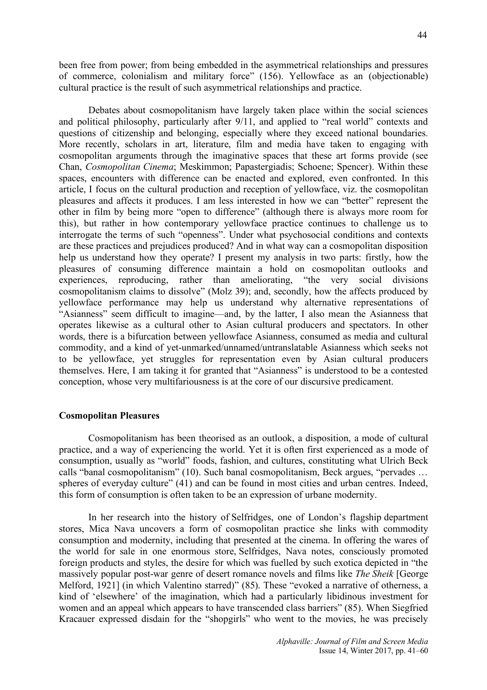been free from power; from being embedded in the asymmetrical relationships and pressures of commerce, colonialism and military force" (156). Yellowface as an (objectionable) cultural practice is the result of such asymmetrical relationships and practice.

Debates about cosmopolitanism have largely taken place within the social sciences and political philosophy, particularly after 9/11, and applied to "real world" contexts and questions of citizenship and belonging, especially where they exceed national boundaries. More recently, scholars in art, literature, film and media have taken to engaging with cosmopolitan arguments through the imaginative spaces that these art forms provide (see Chan, *Cosmopolitan Cinema*; Meskimmon; Papastergiadis; Schoene; Spencer). Within these spaces, encounters with difference can be enacted and explored, even confronted. In this article, I focus on the cultural production and reception of yellowface, viz. the cosmopolitan pleasures and affects it produces. I am less interested in how we can "better" represent the other in film by being more "open to difference" (although there is always more room for this), but rather in how contemporary yellowface practice continues to challenge us to interrogate the terms of such "openness". Under what psychosocial conditions and contexts are these practices and prejudices produced? And in what way can a cosmopolitan disposition help us understand how they operate? I present my analysis in two parts: firstly, how the pleasures of consuming difference maintain a hold on cosmopolitan outlooks and experiences, reproducing, rather than ameliorating, "the very social divisions cosmopolitanism claims to dissolve" (Molz 39); and, secondly, how the affects produced by yellowface performance may help us understand why alternative representations of "Asianness" seem difficult to imagine—and, by the latter, I also mean the Asianness that operates likewise as a cultural other to Asian cultural producers and spectators. In other words, there is a bifurcation between yellowface Asianness, consumed as media and cultural commodity, and a kind of yet-unmarked/unnamed/untranslatable Asianness which seeks not to be yellowface, yet struggles for representation even by Asian cultural producers themselves. Here, I am taking it for granted that "Asianness" is understood to be a contested conception, whose very multifariousness is at the core of our discursive predicament.

### **Cosmopolitan Pleasures**

Cosmopolitanism has been theorised as an outlook, a disposition, a mode of cultural practice, and a way of experiencing the world. Yet it is often first experienced as a mode of consumption, usually as "world" foods, fashion, and cultures, constituting what Ulrich Beck calls "banal cosmopolitanism" (10). Such banal cosmopolitanism, Beck argues, "pervades … spheres of everyday culture" (41) and can be found in most cities and urban centres. Indeed, this form of consumption is often taken to be an expression of urbane modernity.

In her research into the history of Selfridges, one of London's flagship department stores, Mica Nava uncovers a form of cosmopolitan practice she links with commodity consumption and modernity, including that presented at the cinema. In offering the wares of the world for sale in one enormous store, Selfridges, Nava notes, consciously promoted foreign products and styles, the desire for which was fuelled by such exotica depicted in "the massively popular post-war genre of desert romance novels and films like *The Sheik* [George Melford, 1921] (in which Valentino starred)" (85). These "evoked a narrative of otherness, a kind of 'elsewhere' of the imagination, which had a particularly libidinous investment for women and an appeal which appears to have transcended class barriers" (85). When Siegfried Kracauer expressed disdain for the "shopgirls" who went to the movies, he was precisely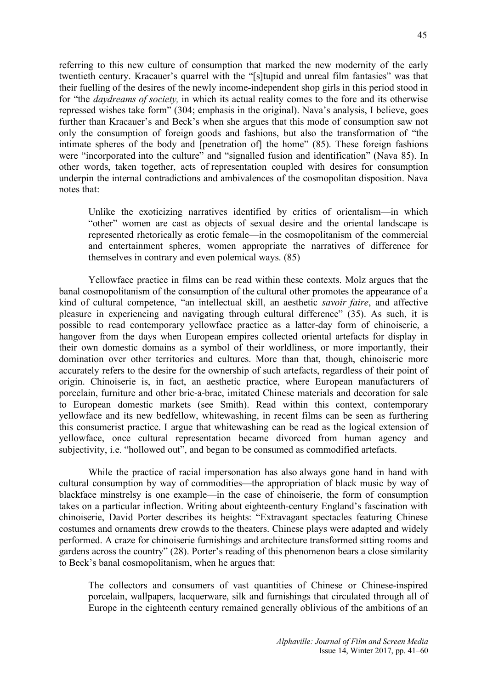referring to this new culture of consumption that marked the new modernity of the early twentieth century. Kracauer's quarrel with the "[s]tupid and unreal film fantasies" was that their fuelling of the desires of the newly income-independent shop girls in this period stood in for "the *daydreams of society,* in which its actual reality comes to the fore and its otherwise repressed wishes take form" (304; emphasis in the original). Nava's analysis, I believe, goes further than Kracauer's and Beck's when she argues that this mode of consumption saw not only the consumption of foreign goods and fashions, but also the transformation of "the intimate spheres of the body and [penetration of] the home" (85). These foreign fashions were "incorporated into the culture" and "signalled fusion and identification" (Nava 85). In other words, taken together, acts of representation coupled with desires for consumption underpin the internal contradictions and ambivalences of the cosmopolitan disposition. Nava notes that:

Unlike the exoticizing narratives identified by critics of orientalism—in which "other" women are cast as objects of sexual desire and the oriental landscape is represented rhetorically as erotic female—in the cosmopolitanism of the commercial and entertainment spheres, women appropriate the narratives of difference for themselves in contrary and even polemical ways. (85)

Yellowface practice in films can be read within these contexts. Molz argues that the banal cosmopolitanism of the consumption of the cultural other promotes the appearance of a kind of cultural competence, "an intellectual skill, an aesthetic *savoir faire*, and affective pleasure in experiencing and navigating through cultural difference" (35). As such, it is possible to read contemporary yellowface practice as a latter-day form of chinoiserie, a hangover from the days when European empires collected oriental artefacts for display in their own domestic domains as a symbol of their worldliness, or more importantly, their domination over other territories and cultures. More than that, though, chinoiserie more accurately refers to the desire for the ownership of such artefacts, regardless of their point of origin. Chinoiserie is, in fact, an aesthetic practice, where European manufacturers of porcelain, furniture and other bric-a-brac, imitated Chinese materials and decoration for sale to European domestic markets (see Smith). Read within this context, contemporary yellowface and its new bedfellow, whitewashing, in recent films can be seen as furthering this consumerist practice. I argue that whitewashing can be read as the logical extension of yellowface, once cultural representation became divorced from human agency and subjectivity, i.e. "hollowed out", and began to be consumed as commodified artefacts.

While the practice of racial impersonation has also always gone hand in hand with cultural consumption by way of commodities—the appropriation of black music by way of blackface minstrelsy is one example—in the case of chinoiserie, the form of consumption takes on a particular inflection. Writing about eighteenth-century England's fascination with chinoiserie, David Porter describes its heights: "Extravagant spectacles featuring Chinese costumes and ornaments drew crowds to the theaters. Chinese plays were adapted and widely performed. A craze for chinoiserie furnishings and architecture transformed sitting rooms and gardens across the country" (28). Porter's reading of this phenomenon bears a close similarity to Beck's banal cosmopolitanism, when he argues that:

The collectors and consumers of vast quantities of Chinese or Chinese-inspired porcelain, wallpapers, lacquerware, silk and furnishings that circulated through all of Europe in the eighteenth century remained generally oblivious of the ambitions of an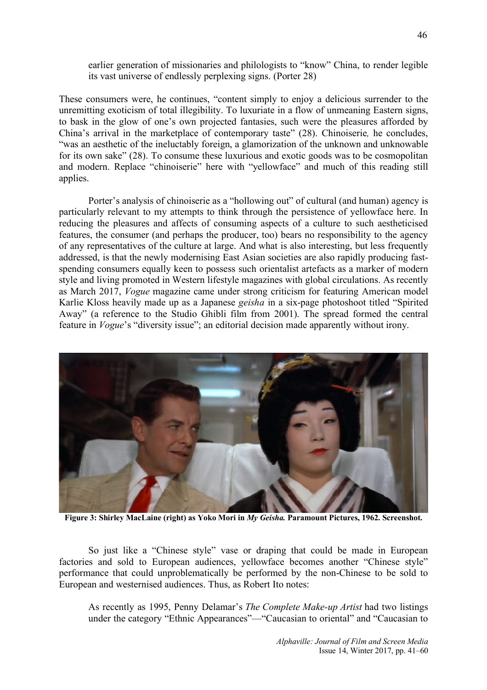earlier generation of missionaries and philologists to "know" China, to render legible its vast universe of endlessly perplexing signs. (Porter 28)

These consumers were, he continues, "content simply to enjoy a delicious surrender to the unremitting exoticism of total illegibility. To luxuriate in a flow of unmeaning Eastern signs, to bask in the glow of one's own projected fantasies, such were the pleasures afforded by China's arrival in the marketplace of contemporary taste" (28). Chinoiserie*,* he concludes, "was an aesthetic of the ineluctably foreign, a glamorization of the unknown and unknowable for its own sake" (28). To consume these luxurious and exotic goods was to be cosmopolitan and modern. Replace "chinoiserie" here with "yellowface" and much of this reading still applies.

Porter's analysis of chinoiserie as a "hollowing out" of cultural (and human) agency is particularly relevant to my attempts to think through the persistence of yellowface here. In reducing the pleasures and affects of consuming aspects of a culture to such aestheticised features, the consumer (and perhaps the producer, too) bears no responsibility to the agency of any representatives of the culture at large. And what is also interesting, but less frequently addressed, is that the newly modernising East Asian societies are also rapidly producing fastspending consumers equally keen to possess such orientalist artefacts as a marker of modern style and living promoted in Western lifestyle magazines with global circulations. As recently as March 2017, *Vogue* magazine came under strong criticism for featuring American model Karlie Kloss heavily made up as a Japanese *geisha* in a six-page photoshoot titled "Spirited Away" (a reference to the Studio Ghibli film from 2001). The spread formed the central feature in *Vogue*'s "diversity issue"; an editorial decision made apparently without irony.



**Figure 3: Shirley MacLaine (right) as Yoko Mori in** *My Geisha.* **Paramount Pictures, 1962. Screenshot.**

So just like a "Chinese style" vase or draping that could be made in European factories and sold to European audiences, yellowface becomes another "Chinese style" performance that could unproblematically be performed by the non-Chinese to be sold to European and westernised audiences. Thus, as Robert Ito notes:

As recently as 1995, Penny Delamar's *The Complete Make-up Artist* had two listings under the category "Ethnic Appearances"—"Caucasian to oriental" and "Caucasian to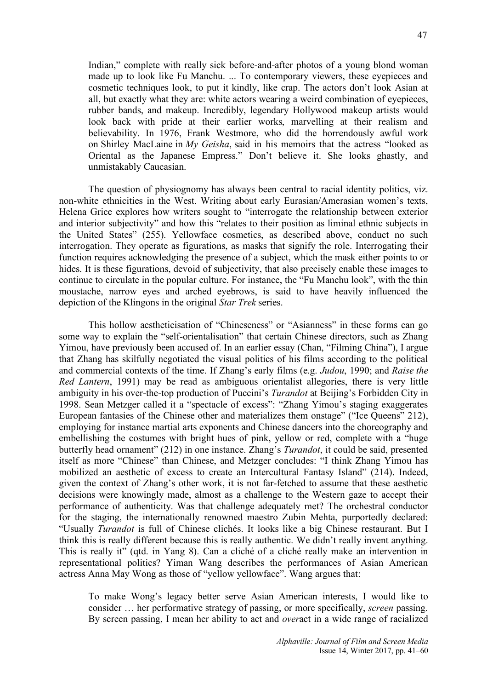Indian," complete with really sick before-and-after photos of a young blond woman made up to look like Fu Manchu. ... To contemporary viewers, these eyepieces and cosmetic techniques look, to put it kindly, like crap. The actors don't look Asian at all, but exactly what they are: white actors wearing a weird combination of eyepieces, rubber bands, and makeup. Incredibly, legendary Hollywood makeup artists would look back with pride at their earlier works, marvelling at their realism and believability. In 1976, Frank Westmore, who did the horrendously awful work on Shirley MacLaine in *My Geisha*, said in his memoirs that the actress "looked as Oriental as the Japanese Empress." Don't believe it. She looks ghastly, and unmistakably Caucasian.

The question of physiognomy has always been central to racial identity politics, viz. non-white ethnicities in the West. Writing about early Eurasian/Amerasian women's texts, Helena Grice explores how writers sought to "interrogate the relationship between exterior and interior subjectivity" and how this "relates to their position as liminal ethnic subjects in the United States" (255). Yellowface cosmetics, as described above, conduct no such interrogation. They operate as figurations, as masks that signify the role. Interrogating their function requires acknowledging the presence of a subject, which the mask either points to or hides. It is these figurations, devoid of subjectivity, that also precisely enable these images to continue to circulate in the popular culture. For instance, the "Fu Manchu look", with the thin moustache, narrow eyes and arched eyebrows, is said to have heavily influenced the depiction of the Klingons in the original *Star Trek* series.

This hollow aestheticisation of "Chineseness" or "Asianness" in these forms can go some way to explain the "self-orientalisation" that certain Chinese directors, such as Zhang Yimou, have previously been accused of. In an earlier essay (Chan, "Filming China"), I argue that Zhang has skilfully negotiated the visual politics of his films according to the political and commercial contexts of the time. If Zhang's early films (e.g. *Judou*, 1990; and *Raise the Red Lantern*, 1991) may be read as ambiguous orientalist allegories, there is very little ambiguity in his over-the-top production of Puccini's *Turandot* at Beijing's Forbidden City in 1998. Sean Metzger called it a "spectacle of excess": "Zhang Yimou's staging exaggerates European fantasies of the Chinese other and materializes them onstage" ("Ice Queens" 212), employing for instance martial arts exponents and Chinese dancers into the choreography and embellishing the costumes with bright hues of pink, yellow or red, complete with a "huge butterfly head ornament" (212) in one instance. Zhang's *Turandot*, it could be said, presented itself as more "Chinese" than Chinese, and Metzger concludes: "I think Zhang Yimou has mobilized an aesthetic of excess to create an Intercultural Fantasy Island" (214). Indeed, given the context of Zhang's other work, it is not far-fetched to assume that these aesthetic decisions were knowingly made, almost as a challenge to the Western gaze to accept their performance of authenticity. Was that challenge adequately met? The orchestral conductor for the staging, the internationally renowned maestro Zubin Mehta, purportedly declared: "Usually *Turandot* is full of Chinese clichés. It looks like a big Chinese restaurant. But I think this is really different because this is really authentic. We didn't really invent anything. This is really it" (qtd. in Yang 8). Can a cliché of a cliché really make an intervention in representational politics? Yiman Wang describes the performances of Asian American actress Anna May Wong as those of "yellow yellowface". Wang argues that:

To make Wong's legacy better serve Asian American interests, I would like to consider … her performative strategy of passing, or more specifically, *screen* passing. By screen passing, I mean her ability to act and *over*act in a wide range of racialized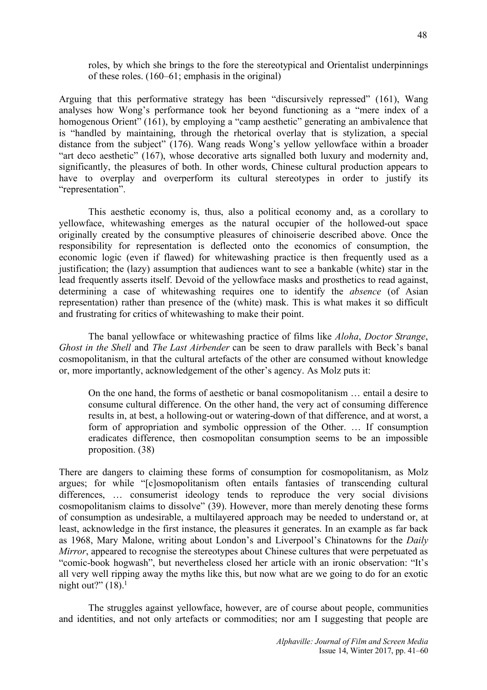Arguing that this performative strategy has been "discursively repressed" (161), Wang analyses how Wong's performance took her beyond functioning as a "mere index of a homogenous Orient" (161), by employing a "camp aesthetic" generating an ambivalence that is "handled by maintaining, through the rhetorical overlay that is stylization, a special distance from the subject" (176). Wang reads Wong's yellow yellowface within a broader "art deco aesthetic" (167), whose decorative arts signalled both luxury and modernity and, significantly, the pleasures of both. In other words, Chinese cultural production appears to have to overplay and overperform its cultural stereotypes in order to justify its "representation".

This aesthetic economy is, thus, also a political economy and, as a corollary to yellowface, whitewashing emerges as the natural occupier of the hollowed-out space originally created by the consumptive pleasures of chinoiserie described above. Once the responsibility for representation is deflected onto the economics of consumption, the economic logic (even if flawed) for whitewashing practice is then frequently used as a justification; the (lazy) assumption that audiences want to see a bankable (white) star in the lead frequently asserts itself. Devoid of the yellowface masks and prosthetics to read against, determining a case of whitewashing requires one to identify the *absence* (of Asian representation) rather than presence of the (white) mask. This is what makes it so difficult and frustrating for critics of whitewashing to make their point.

The banal yellowface or whitewashing practice of films like *Aloha*, *Doctor Strange*, *Ghost in the Shell* and *The Last Airbender* can be seen to draw parallels with Beck's banal cosmopolitanism, in that the cultural artefacts of the other are consumed without knowledge or, more importantly, acknowledgement of the other's agency. As Molz puts it:

On the one hand, the forms of aesthetic or banal cosmopolitanism … entail a desire to consume cultural difference. On the other hand, the very act of consuming difference results in, at best, a hollowing-out or watering-down of that difference, and at worst, a form of appropriation and symbolic oppression of the Other. … If consumption eradicates difference, then cosmopolitan consumption seems to be an impossible proposition. (38)

There are dangers to claiming these forms of consumption for cosmopolitanism, as Molz argues; for while "[c]osmopolitanism often entails fantasies of transcending cultural differences, … consumerist ideology tends to reproduce the very social divisions cosmopolitanism claims to dissolve" (39). However, more than merely denoting these forms of consumption as undesirable, a multilayered approach may be needed to understand or, at least, acknowledge in the first instance, the pleasures it generates. In an example as far back as 1968, Mary Malone, writing about London's and Liverpool's Chinatowns for the *Daily Mirror*, appeared to recognise the stereotypes about Chinese cultures that were perpetuated as "comic-book hogwash", but nevertheless closed her article with an ironic observation: "It's all very well ripping away the myths like this, but now what are we going to do for an exotic night out?"  $(18).<sup>1</sup>$ 

The struggles against yellowface, however, are of course about people, communities and identities, and not only artefacts or commodities; nor am I suggesting that people are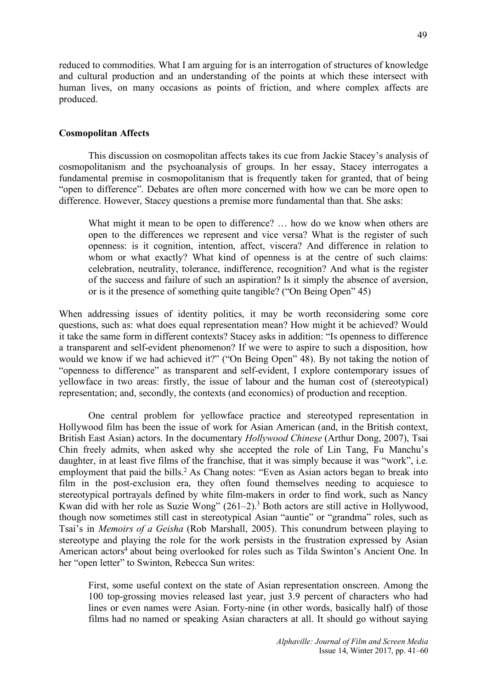reduced to commodities. What I am arguing for is an interrogation of structures of knowledge and cultural production and an understanding of the points at which these intersect with human lives, on many occasions as points of friction, and where complex affects are produced.

# **Cosmopolitan Affects**

This discussion on cosmopolitan affects takes its cue from Jackie Stacey's analysis of cosmopolitanism and the psychoanalysis of groups. In her essay, Stacey interrogates a fundamental premise in cosmopolitanism that is frequently taken for granted, that of being "open to difference". Debates are often more concerned with how we can be more open to difference. However, Stacey questions a premise more fundamental than that. She asks:

What might it mean to be open to difference? ... how do we know when others are open to the differences we represent and vice versa? What is the register of such openness: is it cognition, intention, affect, viscera? And difference in relation to whom or what exactly? What kind of openness is at the centre of such claims: celebration, neutrality, tolerance, indifference, recognition? And what is the register of the success and failure of such an aspiration? Is it simply the absence of aversion, or is it the presence of something quite tangible? ("On Being Open" 45)

When addressing issues of identity politics, it may be worth reconsidering some core questions, such as: what does equal representation mean? How might it be achieved? Would it take the same form in different contexts? Stacey asks in addition: "Is openness to difference a transparent and self-evident phenomenon? If we were to aspire to such a disposition, how would we know if we had achieved it?" ("On Being Open" 48). By not taking the notion of "openness to difference" as transparent and self-evident, I explore contemporary issues of yellowface in two areas: firstly, the issue of labour and the human cost of (stereotypical) representation; and, secondly, the contexts (and economics) of production and reception.

One central problem for yellowface practice and stereotyped representation in Hollywood film has been the issue of work for Asian American (and, in the British context, British East Asian) actors. In the documentary *Hollywood Chinese* (Arthur Dong, 2007), Tsai Chin freely admits, when asked why she accepted the role of Lin Tang, Fu Manchu's daughter, in at least five films of the franchise, that it was simply because it was "work", i.e. employment that paid the bills.<sup>2</sup> As Chang notes: "Even as Asian actors began to break into film in the post-exclusion era, they often found themselves needing to acquiesce to stereotypical portrayals defined by white film-makers in order to find work, such as Nancy Kwan did with her role as Suzie Wong" (261–2).<sup>3</sup> Both actors are still active in Hollywood, though now sometimes still cast in stereotypical Asian "auntie" or "grandma" roles, such as Tsai's in *Memoirs of a Geisha* (Rob Marshall, 2005). This conundrum between playing to stereotype and playing the role for the work persists in the frustration expressed by Asian American actors<sup>4</sup> about being overlooked for roles such as Tilda Swinton's Ancient One. In her "open letter" to Swinton, Rebecca Sun writes:

First, some useful context on the state of Asian representation onscreen. Among the 100 top-grossing movies released last year, just 3.9 percent of characters who had lines or even names were Asian. Forty-nine (in other words, basically half) of those films had no named or speaking Asian characters at all. It should go without saying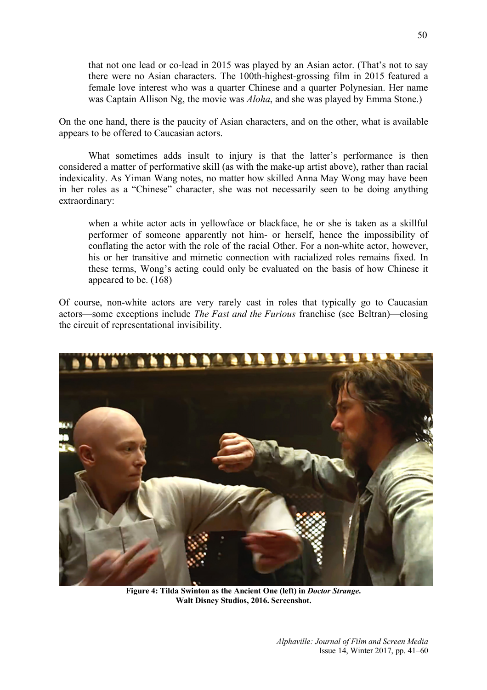that not one lead or co-lead in 2015 was played by an Asian actor. (That's not to say there were no Asian characters. The 100th-highest-grossing film in 2015 featured a female love interest who was a quarter Chinese and a quarter Polynesian. Her name was Captain Allison Ng, the movie was *Aloha*, and she was played by Emma Stone.)

On the one hand, there is the paucity of Asian characters, and on the other, what is available appears to be offered to Caucasian actors.

What sometimes adds insult to injury is that the latter's performance is then considered a matter of performative skill (as with the make-up artist above), rather than racial indexicality. As Yiman Wang notes, no matter how skilled Anna May Wong may have been in her roles as a "Chinese" character, she was not necessarily seen to be doing anything extraordinary:

when a white actor acts in yellowface or blackface, he or she is taken as a skillful performer of someone apparently not him- or herself, hence the impossibility of conflating the actor with the role of the racial Other. For a non-white actor, however, his or her transitive and mimetic connection with racialized roles remains fixed. In these terms, Wong's acting could only be evaluated on the basis of how Chinese it appeared to be. (168)

Of course, non-white actors are very rarely cast in roles that typically go to Caucasian actors—some exceptions include *The Fast and the Furious* franchise (see Beltran)—closing the circuit of representational invisibility.



**Figure 4: Tilda Swinton as the Ancient One (left) in** *Doctor Strange***. Walt Disney Studios, 2016. Screenshot.**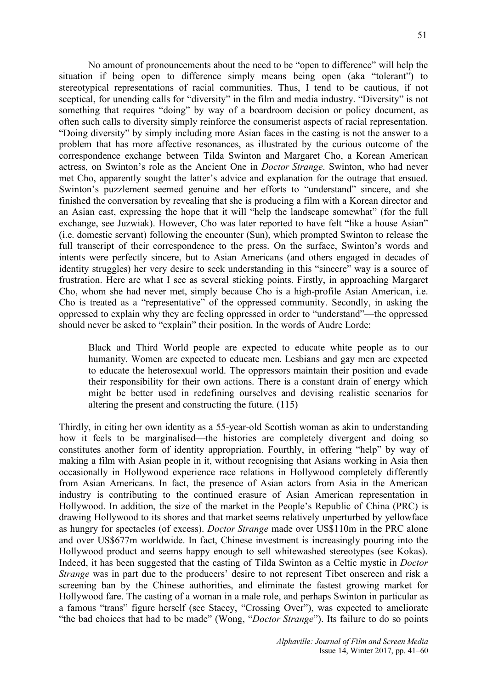No amount of pronouncements about the need to be "open to difference" will help the situation if being open to difference simply means being open (aka "tolerant") to stereotypical representations of racial communities. Thus, I tend to be cautious, if not sceptical, for unending calls for "diversity" in the film and media industry. "Diversity" is not something that requires "doing" by way of a boardroom decision or policy document, as often such calls to diversity simply reinforce the consumerist aspects of racial representation. "Doing diversity" by simply including more Asian faces in the casting is not the answer to a problem that has more affective resonances, as illustrated by the curious outcome of the correspondence exchange between Tilda Swinton and Margaret Cho, a Korean American actress, on Swinton's role as the Ancient One in *Doctor Strange*. Swinton, who had never met Cho, apparently sought the latter's advice and explanation for the outrage that ensued. Swinton's puzzlement seemed genuine and her efforts to "understand" sincere, and she finished the conversation by revealing that she is producing a film with a Korean director and an Asian cast, expressing the hope that it will "help the landscape somewhat" (for the full exchange, see Juzwiak). However, Cho was later reported to have felt "like a house Asian" (i.e. domestic servant) following the encounter (Sun), which prompted Swinton to release the full transcript of their correspondence to the press. On the surface, Swinton's words and intents were perfectly sincere, but to Asian Americans (and others engaged in decades of identity struggles) her very desire to seek understanding in this "sincere" way is a source of frustration. Here are what I see as several sticking points. Firstly, in approaching Margaret Cho, whom she had never met, simply because Cho is a high-profile Asian American, i.e. Cho is treated as a "representative" of the oppressed community. Secondly, in asking the oppressed to explain why they are feeling oppressed in order to "understand"—the oppressed should never be asked to "explain" their position. In the words of Audre Lorde:

Black and Third World people are expected to educate white people as to our humanity. Women are expected to educate men. Lesbians and gay men are expected to educate the heterosexual world. The oppressors maintain their position and evade their responsibility for their own actions. There is a constant drain of energy which might be better used in redefining ourselves and devising realistic scenarios for altering the present and constructing the future. (115)

Thirdly, in citing her own identity as a 55-year-old Scottish woman as akin to understanding how it feels to be marginalised—the histories are completely divergent and doing so constitutes another form of identity appropriation. Fourthly, in offering "help" by way of making a film with Asian people in it, without recognising that Asians working in Asia then occasionally in Hollywood experience race relations in Hollywood completely differently from Asian Americans. In fact, the presence of Asian actors from Asia in the American industry is contributing to the continued erasure of Asian American representation in Hollywood. In addition, the size of the market in the People's Republic of China (PRC) is drawing Hollywood to its shores and that market seems relatively unperturbed by yellowface as hungry for spectacles (of excess). *Doctor Strange* made over US\$110m in the PRC alone and over US\$677m worldwide. In fact, Chinese investment is increasingly pouring into the Hollywood product and seems happy enough to sell whitewashed stereotypes (see Kokas). Indeed, it has been suggested that the casting of Tilda Swinton as a Celtic mystic in *Doctor Strange* was in part due to the producers' desire to not represent Tibet onscreen and risk a screening ban by the Chinese authorities, and eliminate the fastest growing market for Hollywood fare. The casting of a woman in a male role, and perhaps Swinton in particular as a famous "trans" figure herself (see Stacey, "Crossing Over"), was expected to ameliorate "the bad choices that had to be made" (Wong, "*Doctor Strange*"). Its failure to do so points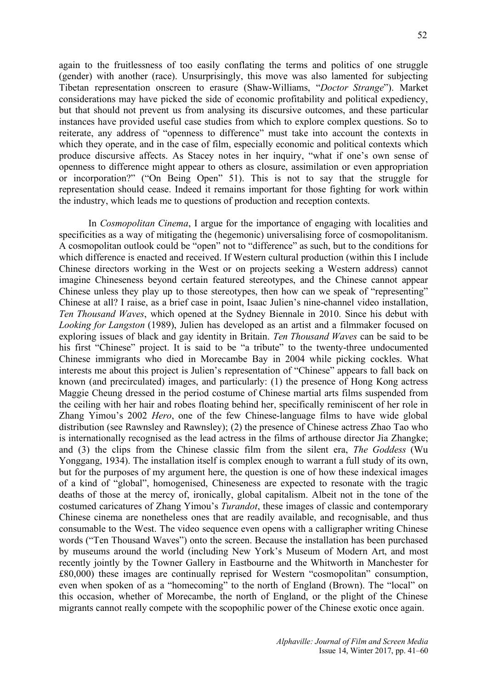again to the fruitlessness of too easily conflating the terms and politics of one struggle (gender) with another (race). Unsurprisingly, this move was also lamented for subjecting Tibetan representation onscreen to erasure (Shaw-Williams, "*Doctor Strange*"). Market considerations may have picked the side of economic profitability and political expediency, but that should not prevent us from analysing its discursive outcomes, and these particular instances have provided useful case studies from which to explore complex questions. So to reiterate, any address of "openness to difference" must take into account the contexts in which they operate, and in the case of film, especially economic and political contexts which produce discursive affects. As Stacey notes in her inquiry, "what if one's own sense of openness to difference might appear to others as closure, assimilation or even appropriation or incorporation?" ("On Being Open" 51). This is not to say that the struggle for representation should cease. Indeed it remains important for those fighting for work within the industry, which leads me to questions of production and reception contexts.

In *Cosmopolitan Cinema*, I argue for the importance of engaging with localities and specificities as a way of mitigating the (hegemonic) universalising force of cosmopolitanism. A cosmopolitan outlook could be "open" not to "difference" as such, but to the conditions for which difference is enacted and received. If Western cultural production (within this I include Chinese directors working in the West or on projects seeking a Western address) cannot imagine Chineseness beyond certain featured stereotypes, and the Chinese cannot appear Chinese unless they play up to those stereotypes, then how can we speak of "representing" Chinese at all? I raise, as a brief case in point, Isaac Julien's nine-channel video installation, *Ten Thousand Waves*, which opened at the Sydney Biennale in 2010. Since his debut with *Looking for Langston* (1989), Julien has developed as an artist and a filmmaker focused on exploring issues of black and gay identity in Britain. *Ten Thousand Waves* can be said to be his first "Chinese" project. It is said to be "a tribute" to the twenty-three undocumented Chinese immigrants who died in Morecambe Bay in 2004 while picking cockles. What interests me about this project is Julien's representation of "Chinese" appears to fall back on known (and precirculated) images, and particularly: (1) the presence of Hong Kong actress Maggie Cheung dressed in the period costume of Chinese martial arts films suspended from the ceiling with her hair and robes floating behind her, specifically reminiscent of her role in Zhang Yimou's 2002 *Hero*, one of the few Chinese-language films to have wide global distribution (see Rawnsley and Rawnsley); (2) the presence of Chinese actress Zhao Tao who is internationally recognised as the lead actress in the films of arthouse director Jia Zhangke; and (3) the clips from the Chinese classic film from the silent era, *The Goddess* (Wu Yonggang, 1934). The installation itself is complex enough to warrant a full study of its own, but for the purposes of my argument here, the question is one of how these indexical images of a kind of "global", homogenised, Chineseness are expected to resonate with the tragic deaths of those at the mercy of, ironically, global capitalism. Albeit not in the tone of the costumed caricatures of Zhang Yimou's *Turandot*, these images of classic and contemporary Chinese cinema are nonetheless ones that are readily available, and recognisable, and thus consumable to the West. The video sequence even opens with a calligrapher writing Chinese words ("Ten Thousand Waves") onto the screen. Because the installation has been purchased by museums around the world (including New York's Museum of Modern Art, and most recently jointly by the Towner Gallery in Eastbourne and the Whitworth in Manchester for £80,000) these images are continually reprised for Western "cosmopolitan" consumption, even when spoken of as a "homecoming" to the north of England (Brown). The "local" on this occasion, whether of Morecambe, the north of England, or the plight of the Chinese migrants cannot really compete with the scopophilic power of the Chinese exotic once again.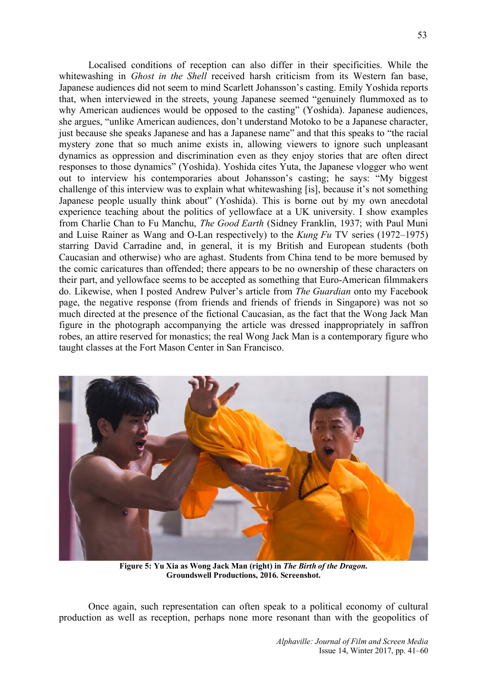Localised conditions of reception can also differ in their specificities. While the whitewashing in *Ghost in the Shell* received harsh criticism from its Western fan base, Japanese audiences did not seem to mind Scarlett Johansson's casting. Emily Yoshida reports that, when interviewed in the streets, young Japanese seemed "genuinely flummoxed as to why American audiences would be opposed to the casting" (Yoshida). Japanese audiences, she argues, "unlike American audiences, don't understand Motoko to be a Japanese character, just because she speaks Japanese and has a Japanese name" and that this speaks to "the racial mystery zone that so much anime exists in, allowing viewers to ignore such unpleasant dynamics as oppression and discrimination even as they enjoy stories that are often direct responses to those dynamics" (Yoshida). Yoshida cites Yuta, the Japanese vlogger who went out to interview his contemporaries about Johansson's casting; he says: "My biggest challenge of this interview was to explain what whitewashing [is], because it's not something Japanese people usually think about" (Yoshida). This is borne out by my own anecdotal experience teaching about the politics of yellowface at a UK university. I show examples from Charlie Chan to Fu Manchu, *The Good Earth* (Sidney Franklin, 1937; with Paul Muni and Luise Rainer as Wang and O-Lan respectively) to the *Kung Fu* TV series (1972–1975) starring David Carradine and, in general, it is my British and European students (both Caucasian and otherwise) who are aghast. Students from China tend to be more bemused by the comic caricatures than offended; there appears to be no ownership of these characters on their part, and yellowface seems to be accepted as something that Euro-American filmmakers do. Likewise, when I posted Andrew Pulver's article from *The Guardian* onto my Facebook page, the negative response (from friends and friends of friends in Singapore) was not so much directed at the presence of the fictional Caucasian, as the fact that the Wong Jack Man figure in the photograph accompanying the article was dressed inappropriately in saffron robes, an attire reserved for monastics; the real Wong Jack Man is a contemporary figure who taught classes at the Fort Mason Center in San Francisco.



**Figure 5: Yu Xia as Wong Jack Man (right) in** *The Birth of the Dragon***. Groundswell Productions, 2016. Screenshot.**

Once again, such representation can often speak to a political economy of cultural production as well as reception, perhaps none more resonant than with the geopolitics of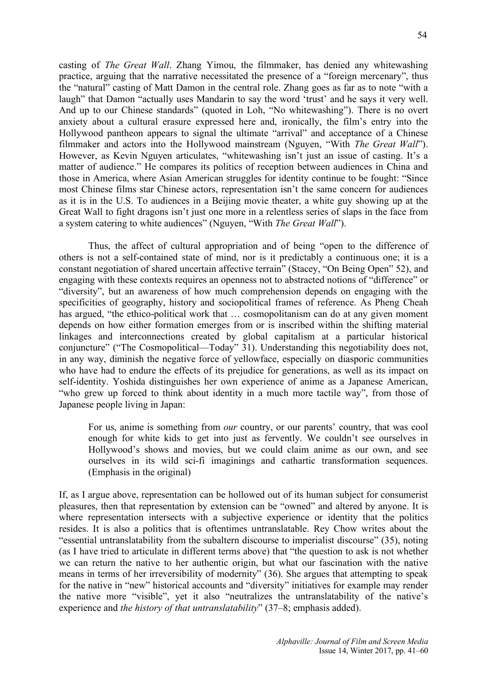casting of *The Great Wall*. Zhang Yimou, the filmmaker, has denied any whitewashing practice, arguing that the narrative necessitated the presence of a "foreign mercenary", thus the "natural" casting of Matt Damon in the central role. Zhang goes as far as to note "with a laugh" that Damon "actually uses Mandarin to say the word 'trust' and he says it very well. And up to our Chinese standards" (quoted in Loh, "No whitewashing"). There is no overt anxiety about a cultural erasure expressed here and, ironically, the film's entry into the Hollywood pantheon appears to signal the ultimate "arrival" and acceptance of a Chinese filmmaker and actors into the Hollywood mainstream (Nguyen, "With *The Great Wall*"). However, as Kevin Nguyen articulates, "whitewashing isn't just an issue of casting. It's a matter of audience." He compares its politics of reception between audiences in China and those in America, where Asian American struggles for identity continue to be fought: "Since most Chinese films star Chinese actors, representation isn't the same concern for audiences as it is in the U.S. To audiences in a Beijing movie theater, a white guy showing up at the Great Wall to fight dragons isn't just one more in a relentless series of slaps in the face from a system catering to white audiences" (Nguyen, "With *The Great Wall*").

Thus, the affect of cultural appropriation and of being "open to the difference of others is not a self-contained state of mind, nor is it predictably a continuous one; it is a constant negotiation of shared uncertain affective terrain" (Stacey, "On Being Open" 52), and engaging with these contexts requires an openness not to abstracted notions of "difference" or "diversity", but an awareness of how much comprehension depends on engaging with the specificities of geography, history and sociopolitical frames of reference. As Pheng Cheah has argued, "the ethico-political work that ... cosmopolitanism can do at any given moment depends on how either formation emerges from or is inscribed within the shifting material linkages and interconnections created by global capitalism at a particular historical conjuncture" ("The Cosmopolitical—Today" 31). Understanding this negotiability does not, in any way, diminish the negative force of yellowface, especially on diasporic communities who have had to endure the effects of its prejudice for generations, as well as its impact on self-identity. Yoshida distinguishes her own experience of anime as a Japanese American, "who grew up forced to think about identity in a much more tactile way", from those of Japanese people living in Japan:

For us, anime is something from *our* country, or our parents' country, that was cool enough for white kids to get into just as fervently. We couldn't see ourselves in Hollywood's shows and movies, but we could claim anime as our own, and see ourselves in its wild sci-fi imaginings and cathartic transformation sequences. (Emphasis in the original)

If, as I argue above, representation can be hollowed out of its human subject for consumerist pleasures, then that representation by extension can be "owned" and altered by anyone. It is where representation intersects with a subjective experience or identity that the politics resides. It is also a politics that is oftentimes untranslatable. Rey Chow writes about the "essential untranslatability from the subaltern discourse to imperialist discourse" (35), noting (as I have tried to articulate in different terms above) that "the question to ask is not whether we can return the native to her authentic origin, but what our fascination with the native means in terms of her irreversibility of modernity" (36). She argues that attempting to speak for the native in "new" historical accounts and "diversity" initiatives for example may render the native more "visible", yet it also "neutralizes the untranslatability of the native's experience and *the history of that untranslatability*" (37–8; emphasis added).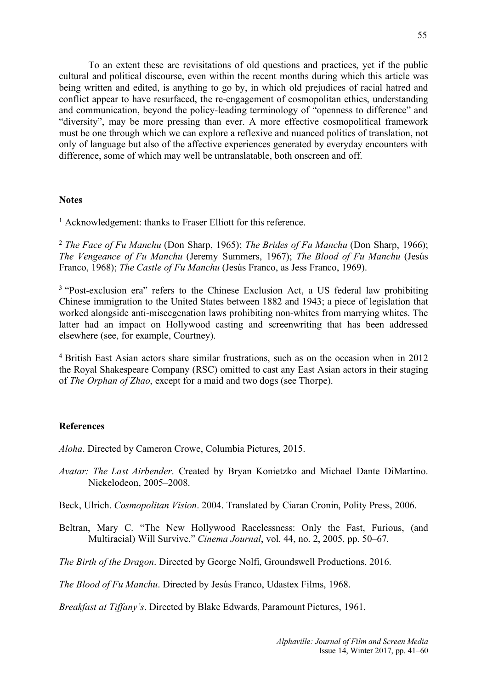To an extent these are revisitations of old questions and practices, yet if the public cultural and political discourse, even within the recent months during which this article was being written and edited, is anything to go by, in which old prejudices of racial hatred and conflict appear to have resurfaced, the re-engagement of cosmopolitan ethics, understanding and communication, beyond the policy-leading terminology of "openness to difference" and "diversity", may be more pressing than ever. A more effective cosmopolitical framework must be one through which we can explore a reflexive and nuanced politics of translation, not only of language but also of the affective experiences generated by everyday encounters with difference, some of which may well be untranslatable, both onscreen and off.

### **Notes**

<sup>1</sup> Acknowledgement: thanks to Fraser Elliott for this reference.

<sup>2</sup> *The Face of Fu Manchu* (Don Sharp, 1965); *The Brides of Fu Manchu* (Don Sharp, 1966); *The Vengeance of Fu Manchu* (Jeremy Summers, 1967); *The Blood of Fu Manchu* (Jesús Franco, 1968); *The Castle of Fu Manchu* (Jesús Franco, as Jess Franco, 1969).

<sup>3</sup> "Post-exclusion era" refers to the Chinese Exclusion Act, a US federal law prohibiting Chinese immigration to the United States between 1882 and 1943; a piece of legislation that worked alongside anti-miscegenation laws prohibiting non-whites from marrying whites. The latter had an impact on Hollywood casting and screenwriting that has been addressed elsewhere (see, for example, Courtney).

<sup>4</sup> British East Asian actors share similar frustrations, such as on the occasion when in 2012 the Royal Shakespeare Company (RSC) omitted to cast any East Asian actors in their staging of *The Orphan of Zhao*, except for a maid and two dogs (see Thorpe).

# **References**

*Aloha*. Directed by Cameron Crowe, Columbia Pictures, 2015.

*Avatar: The Last Airbender*. Created by Bryan Konietzko and Michael Dante DiMartino. Nickelodeon, 2005–2008.

Beck, Ulrich. *Cosmopolitan Vision*. 2004. Translated by Ciaran Cronin, Polity Press, 2006.

Beltran, Mary C. "The New Hollywood Racelessness: Only the Fast, Furious, (and Multiracial) Will Survive." *Cinema Journal*, vol. 44, no. 2, 2005, pp. 50–67.

*The Birth of the Dragon*. Directed by George Nolfi, Groundswell Productions, 2016.

*The Blood of Fu Manchu*. Directed by Jesús Franco, Udastex Films, 1968.

*Breakfast at Tiffany's*. Directed by Blake Edwards, Paramount Pictures, 1961.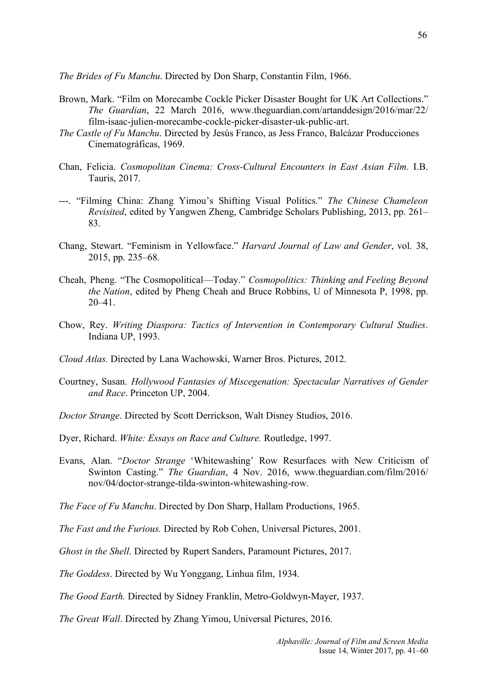*The Brides of Fu Manchu*. Directed by Don Sharp, Constantin Film, 1966.

- Brown, Mark. "Film on Morecambe Cockle Picker Disaster Bought for UK Art Collections." *The Guardian*, 22 March 2016, www.theguardian.com/artanddesign/2016/mar/22/ film-isaac-julien-morecambe-cockle-picker-disaster-uk-public-art.
- *The Castle of Fu Manchu*. Directed by Jesús Franco, as Jess Franco, Balcázar Producciones Cinematográficas, 1969.
- Chan, Felicia. *Cosmopolitan Cinema: Cross-Cultural Encounters in East Asian Film*. I.B. Tauris, 2017.
- ---. "Filming China: Zhang Yimou's Shifting Visual Politics." *The Chinese Chameleon Revisited*, edited by Yangwen Zheng, Cambridge Scholars Publishing, 2013, pp. 261– 83.
- Chang, Stewart. "Feminism in Yellowface." *Harvard Journal of Law and Gender*, vol. 38, 2015, pp. 235–68.
- Cheah, Pheng. "The Cosmopolitical—Today." *Cosmopolitics: Thinking and Feeling Beyond the Nation*, edited by Pheng Cheah and Bruce Robbins, U of Minnesota P, 1998, pp. 20–41.
- Chow, Rey. *Writing Diaspora: Tactics of Intervention in Contemporary Cultural Studies*. Indiana UP, 1993.
- *Cloud Atlas.* Directed by Lana Wachowski, Warner Bros. Pictures, 2012.
- Courtney, Susan. *Hollywood Fantasies of Miscegenation: Spectacular Narratives of Gender and Race*. Princeton UP, 2004.
- *Doctor Strange*. Directed by Scott Derrickson, Walt Disney Studios, 2016.
- Dyer, Richard. *White: Essays on Race and Culture.* Routledge, 1997.
- Evans, Alan. "*Doctor Strange* 'Whitewashing' Row Resurfaces with New Criticism of Swinton Casting." *The Guardian*, 4 Nov. 2016, www.theguardian.com/film/2016/ nov/04/doctor-strange-tilda-swinton-whitewashing-row.

*The Face of Fu Manchu*. Directed by Don Sharp, Hallam Productions, 1965.

- *The Fast and the Furious.* Directed by Rob Cohen, Universal Pictures, 2001.
- *Ghost in the Shell*. Directed by Rupert Sanders, Paramount Pictures, 2017.

*The Goddess*. Directed by Wu Yonggang, Linhua film, 1934.

*The Good Earth.* Directed by Sidney Franklin, Metro-Goldwyn-Mayer, 1937.

*The Great Wall*. Directed by Zhang Yimou, Universal Pictures, 2016.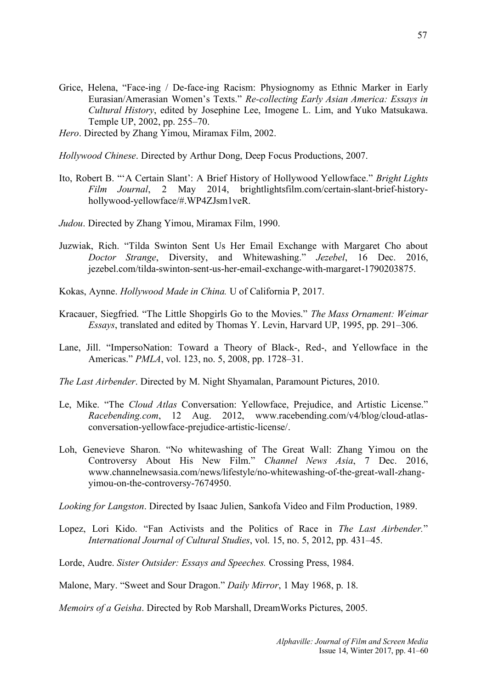- Grice, Helena, "Face-ing / De-face-ing Racism: Physiognomy as Ethnic Marker in Early Eurasian/Amerasian Women's Texts." *Re-collecting Early Asian America: Essays in Cultural History*, edited by Josephine Lee, Imogene L. Lim, and Yuko Matsukawa. Temple UP, 2002, pp. 255–70.
- *Hero*. Directed by Zhang Yimou, Miramax Film, 2002.

*Hollywood Chinese*. Directed by Arthur Dong, Deep Focus Productions, 2007.

- Ito, Robert B. "'A Certain Slant': A Brief History of Hollywood Yellowface." *Bright Lights Film Journal*, 2 May 2014, brightlightsfilm.com/certain-slant-brief-historyhollywood-yellowface/#.WP4ZJsm1veR.
- *Judou*. Directed by Zhang Yimou, Miramax Film, 1990.
- Juzwiak, Rich. "Tilda Swinton Sent Us Her Email Exchange with Margaret Cho about *Doctor Strange*, Diversity, and Whitewashing." *Jezebel*, 16 Dec. 2016, jezebel.com/tilda-swinton-sent-us-her-email-exchange-with-margaret-1790203875.
- Kokas, Aynne. *Hollywood Made in China.* U of California P, 2017.
- Kracauer, Siegfried. "The Little Shopgirls Go to the Movies." *The Mass Ornament: Weimar Essays*, translated and edited by Thomas Y. Levin, Harvard UP, 1995, pp. 291–306.
- Lane, Jill. "ImpersoNation: Toward a Theory of Black-, Red-, and Yellowface in the Americas." *PMLA*, vol. 123, no. 5, 2008, pp. 1728–31.
- *The Last Airbender*. Directed by M. Night Shyamalan, Paramount Pictures, 2010.
- Le, Mike. "The *Cloud Atlas* Conversation: Yellowface, Prejudice, and Artistic License." *Racebending.com*, 12 Aug. 2012, www.racebending.com/v4/blog/cloud-atlasconversation-yellowface-prejudice-artistic-license/.
- Loh, Genevieve Sharon. "No whitewashing of The Great Wall: Zhang Yimou on the Controversy About His New Film." *Channel News Asia*, 7 Dec. 2016, www.channelnewsasia.com/news/lifestyle/no-whitewashing-of-the-great-wall-zhangyimou-on-the-controversy-7674950.

*Looking for Langston*. Directed by Isaac Julien, Sankofa Video and Film Production, 1989.

- Lopez, Lori Kido. "Fan Activists and the Politics of Race in *The Last Airbender.*" *International Journal of Cultural Studies*, vol. 15, no. 5, 2012, pp. 431–45.
- Lorde, Audre. *Sister Outsider: Essays and Speeches.* Crossing Press, 1984.

Malone, Mary. "Sweet and Sour Dragon." *Daily Mirror*, 1 May 1968, p. 18.

*Memoirs of a Geisha*. Directed by Rob Marshall, DreamWorks Pictures, 2005.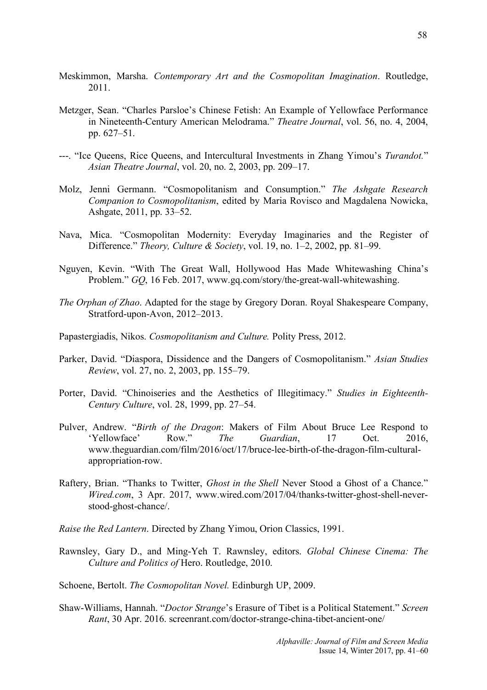- Meskimmon, Marsha. *Contemporary Art and the Cosmopolitan Imagination*. Routledge, 2011.
- Metzger, Sean. "Charles Parsloe's Chinese Fetish: An Example of Yellowface Performance in Nineteenth-Century American Melodrama." *Theatre Journal*, vol. 56, no. 4, 2004, pp. 627–51.
- ---. "Ice Queens, Rice Queens, and Intercultural Investments in Zhang Yimou's *Turandot.*" *Asian Theatre Journal*, vol. 20, no. 2, 2003, pp. 209–17.
- Molz, Jenni Germann. "Cosmopolitanism and Consumption." *The Ashgate Research Companion to Cosmopolitanism*, edited by Maria Rovisco and Magdalena Nowicka, Ashgate, 2011, pp. 33–52.
- Nava, Mica. "Cosmopolitan Modernity: Everyday Imaginaries and the Register of Difference." *Theory, Culture & Society*, vol. 19, no. 1–2, 2002, pp. 81–99.
- Nguyen, Kevin. "With The Great Wall, Hollywood Has Made Whitewashing China's Problem." *GQ*, 16 Feb. 2017, www.gq.com/story/the-great-wall-whitewashing.
- *The Orphan of Zhao*. Adapted for the stage by Gregory Doran. Royal Shakespeare Company, Stratford-upon-Avon, 2012–2013.
- Papastergiadis, Nikos. *Cosmopolitanism and Culture.* Polity Press, 2012.
- Parker, David. "Diaspora, Dissidence and the Dangers of Cosmopolitanism." *Asian Studies Review*, vol. 27, no. 2, 2003, pp. 155–79.
- Porter, David. "Chinoiseries and the Aesthetics of Illegitimacy." *Studies in Eighteenth-Century Culture*, vol. 28, 1999, pp. 27–54.
- Pulver, Andrew. "*Birth of the Dragon*: Makers of Film About Bruce Lee Respond to 'Yellowface' Row." *The Guardian*, 17 Oct. 2016, www.theguardian.com/film/2016/oct/17/bruce-lee-birth-of-the-dragon-film-culturalappropriation-row.
- Raftery, Brian. "Thanks to Twitter, *Ghost in the Shell* Never Stood a Ghost of a Chance." *Wired.com*, 3 Apr. 2017, www.wired.com/2017/04/thanks-twitter-ghost-shell-neverstood-ghost-chance/.
- *Raise the Red Lantern*. Directed by Zhang Yimou, Orion Classics, 1991.
- Rawnsley, Gary D., and Ming-Yeh T. Rawnsley, editors. *Global Chinese Cinema: The Culture and Politics of* Hero. Routledge, 2010.
- Schoene, Bertolt. *The Cosmopolitan Novel.* Edinburgh UP, 2009.
- Shaw-Williams, Hannah. "*Doctor Strange*'s Erasure of Tibet is a Political Statement." *Screen Rant*, 30 Apr. 2016. screenrant.com/doctor-strange-china-tibet-ancient-one/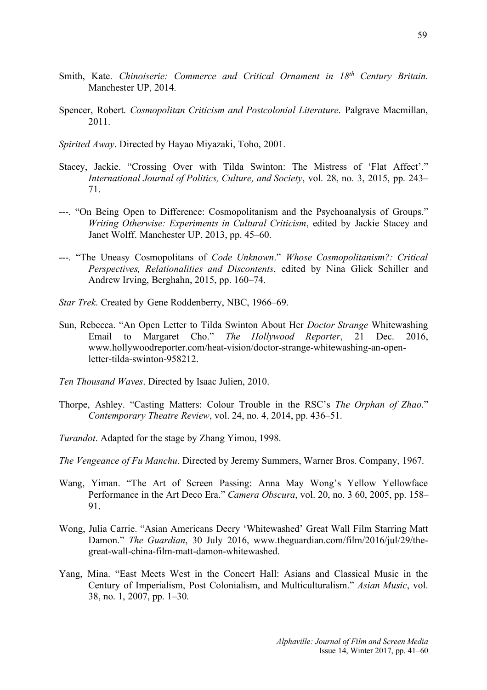- Smith, Kate. *Chinoiserie: Commerce and Critical Ornament in 18th Century Britain.* Manchester UP, 2014.
- Spencer, Robert. *Cosmopolitan Criticism and Postcolonial Literature*. Palgrave Macmillan, 2011.
- *Spirited Away*. Directed by Hayao Miyazaki, Toho, 2001.
- Stacey, Jackie. "Crossing Over with Tilda Swinton: The Mistress of 'Flat Affect'." *International Journal of Politics, Culture, and Society*, vol. 28, no. 3, 2015, pp. 243– 71.
- ---. "On Being Open to Difference: Cosmopolitanism and the Psychoanalysis of Groups." *Writing Otherwise: Experiments in Cultural Criticism*, edited by Jackie Stacey and Janet Wolff. Manchester UP, 2013, pp. 45–60.
- ---. "The Uneasy Cosmopolitans of *Code Unknown*." *Whose Cosmopolitanism?: Critical Perspectives, Relationalities and Discontents*, edited by Nina Glick Schiller and Andrew Irving, Berghahn, 2015, pp. 160–74.
- *Star Trek*. Created by Gene Roddenberry, NBC, 1966–69.
- Sun, Rebecca. "An Open Letter to Tilda Swinton About Her *Doctor Strange* Whitewashing Email to Margaret Cho." *The Hollywood Reporter*, 21 Dec. 2016, www.hollywoodreporter.com/heat-vision/doctor-strange-whitewashing-an-openletter-tilda-swinton-958212.
- *Ten Thousand Waves*. Directed by Isaac Julien, 2010.
- Thorpe, Ashley. "Casting Matters: Colour Trouble in the RSC's *The Orphan of Zhao*." *Contemporary Theatre Review*, vol. 24, no. 4, 2014, pp. 436–51.
- *Turandot*. Adapted for the stage by Zhang Yimou, 1998.
- *The Vengeance of Fu Manchu*. Directed by Jeremy Summers, Warner Bros. Company, 1967.
- Wang, Yiman. "The Art of Screen Passing: Anna May Wong's Yellow Yellowface Performance in the Art Deco Era." *Camera Obscura*, vol. 20, no. 3 60, 2005, pp. 158– 91.
- Wong, Julia Carrie. "Asian Americans Decry 'Whitewashed' Great Wall Film Starring Matt Damon." *The Guardian*, 30 July 2016, www.theguardian.com/film/2016/jul/29/thegreat-wall-china-film-matt-damon-whitewashed.
- Yang, Mina. "East Meets West in the Concert Hall: Asians and Classical Music in the Century of Imperialism, Post Colonialism, and Multiculturalism." *Asian Music*, vol. 38, no. 1, 2007, pp. 1–30.